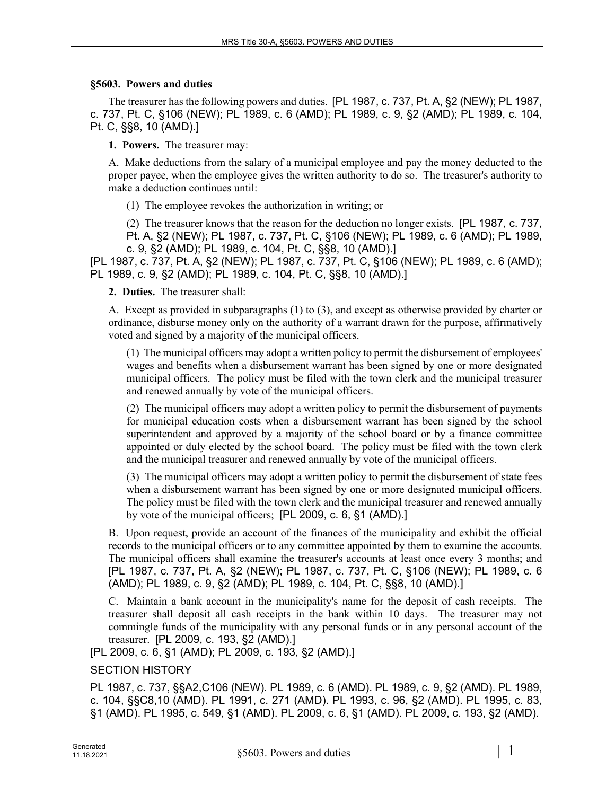## **§5603. Powers and duties**

The treasurer has the following powers and duties. [PL 1987, c. 737, Pt. A, §2 (NEW); PL 1987, c. 737, Pt. C, §106 (NEW); PL 1989, c. 6 (AMD); PL 1989, c. 9, §2 (AMD); PL 1989, c. 104, Pt. C, §§8, 10 (AMD).]

**1. Powers.** The treasurer may:

A. Make deductions from the salary of a municipal employee and pay the money deducted to the proper payee, when the employee gives the written authority to do so. The treasurer's authority to make a deduction continues until:

(1) The employee revokes the authorization in writing; or

(2) The treasurer knows that the reason for the deduction no longer exists. [PL 1987, c. 737, Pt. A, §2 (NEW); PL 1987, c. 737, Pt. C, §106 (NEW); PL 1989, c. 6 (AMD); PL 1989, c. 9, §2 (AMD); PL 1989, c. 104, Pt. C, §§8, 10 (AMD).]

[PL 1987, c. 737, Pt. A, §2 (NEW); PL 1987, c. 737, Pt. C, §106 (NEW); PL 1989, c. 6 (AMD); PL 1989, c. 9, §2 (AMD); PL 1989, c. 104, Pt. C, §§8, 10 (AMD).]

**2. Duties.** The treasurer shall:

A. Except as provided in subparagraphs (1) to (3), and except as otherwise provided by charter or ordinance, disburse money only on the authority of a warrant drawn for the purpose, affirmatively voted and signed by a majority of the municipal officers.

(1) The municipal officers may adopt a written policy to permit the disbursement of employees' wages and benefits when a disbursement warrant has been signed by one or more designated municipal officers. The policy must be filed with the town clerk and the municipal treasurer and renewed annually by vote of the municipal officers.

(2) The municipal officers may adopt a written policy to permit the disbursement of payments for municipal education costs when a disbursement warrant has been signed by the school superintendent and approved by a majority of the school board or by a finance committee appointed or duly elected by the school board. The policy must be filed with the town clerk and the municipal treasurer and renewed annually by vote of the municipal officers.

(3) The municipal officers may adopt a written policy to permit the disbursement of state fees when a disbursement warrant has been signed by one or more designated municipal officers. The policy must be filed with the town clerk and the municipal treasurer and renewed annually by vote of the municipal officers; [PL 2009, c. 6, §1 (AMD).]

B. Upon request, provide an account of the finances of the municipality and exhibit the official records to the municipal officers or to any committee appointed by them to examine the accounts. The municipal officers shall examine the treasurer's accounts at least once every 3 months; and [PL 1987, c. 737, Pt. A, §2 (NEW); PL 1987, c. 737, Pt. C, §106 (NEW); PL 1989, c. 6 (AMD); PL 1989, c. 9, §2 (AMD); PL 1989, c. 104, Pt. C, §§8, 10 (AMD).]

C. Maintain a bank account in the municipality's name for the deposit of cash receipts. The treasurer shall deposit all cash receipts in the bank within 10 days. The treasurer may not commingle funds of the municipality with any personal funds or in any personal account of the treasurer. [PL 2009, c. 193, §2 (AMD).]

[PL 2009, c. 6, §1 (AMD); PL 2009, c. 193, §2 (AMD).]

## SECTION HISTORY

PL 1987, c. 737, §§A2,C106 (NEW). PL 1989, c. 6 (AMD). PL 1989, c. 9, §2 (AMD). PL 1989, c. 104, §§C8,10 (AMD). PL 1991, c. 271 (AMD). PL 1993, c. 96, §2 (AMD). PL 1995, c. 83, §1 (AMD). PL 1995, c. 549, §1 (AMD). PL 2009, c. 6, §1 (AMD). PL 2009, c. 193, §2 (AMD).